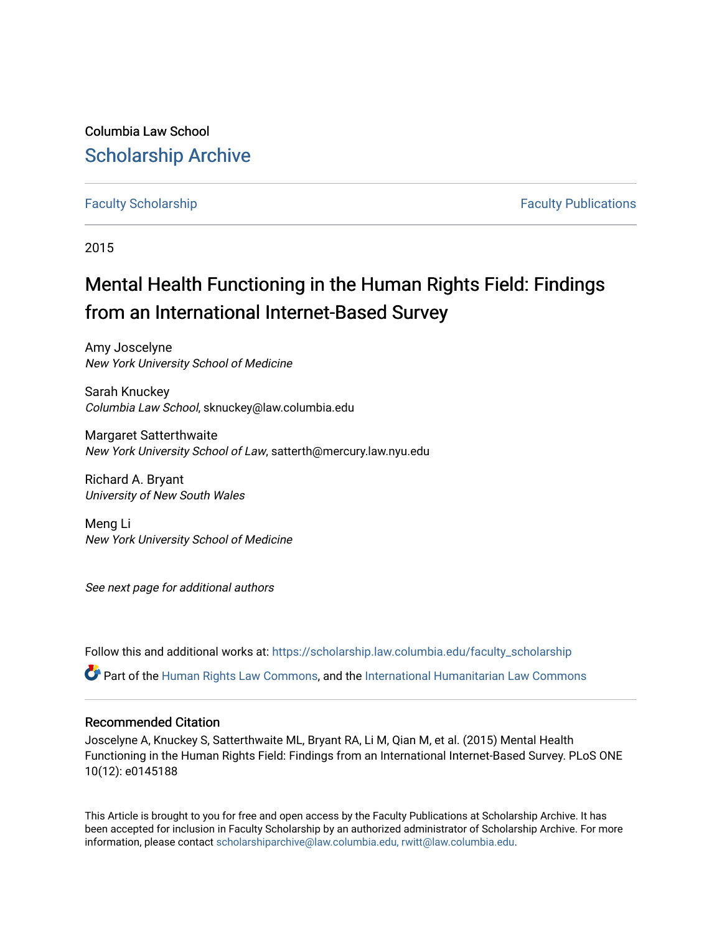Columbia Law School [Scholarship Archive](https://scholarship.law.columbia.edu/) 

# [Faculty Scholarship](https://scholarship.law.columbia.edu/faculty_scholarship) **Faculty Scholarship Faculty Publications**

2015

# Mental Health Functioning in the Human Rights Field: Findings from an International Internet-Based Survey

Amy Joscelyne New York University School of Medicine

Sarah Knuckey Columbia Law School, sknuckey@law.columbia.edu

Margaret Satterthwaite New York University School of Law, satterth@mercury.law.nyu.edu

Richard A. Bryant University of New South Wales

Meng Li New York University School of Medicine

See next page for additional authors

Follow this and additional works at: [https://scholarship.law.columbia.edu/faculty\\_scholarship](https://scholarship.law.columbia.edu/faculty_scholarship?utm_source=scholarship.law.columbia.edu%2Ffaculty_scholarship%2F3323&utm_medium=PDF&utm_campaign=PDFCoverPages)

Part of the [Human Rights Law Commons,](http://network.bepress.com/hgg/discipline/847?utm_source=scholarship.law.columbia.edu%2Ffaculty_scholarship%2F3323&utm_medium=PDF&utm_campaign=PDFCoverPages) and the [International Humanitarian Law Commons](http://network.bepress.com/hgg/discipline/1330?utm_source=scholarship.law.columbia.edu%2Ffaculty_scholarship%2F3323&utm_medium=PDF&utm_campaign=PDFCoverPages) 

#### Recommended Citation

Joscelyne A, Knuckey S, Satterthwaite ML, Bryant RA, Li M, Qian M, et al. (2015) Mental Health Functioning in the Human Rights Field: Findings from an International Internet-Based Survey. PLoS ONE 10(12): e0145188

This Article is brought to you for free and open access by the Faculty Publications at Scholarship Archive. It has been accepted for inclusion in Faculty Scholarship by an authorized administrator of Scholarship Archive. For more information, please contact [scholarshiparchive@law.columbia.edu, rwitt@law.columbia.edu](mailto:scholarshiparchive@law.columbia.edu,%20rwitt@law.columbia.edu).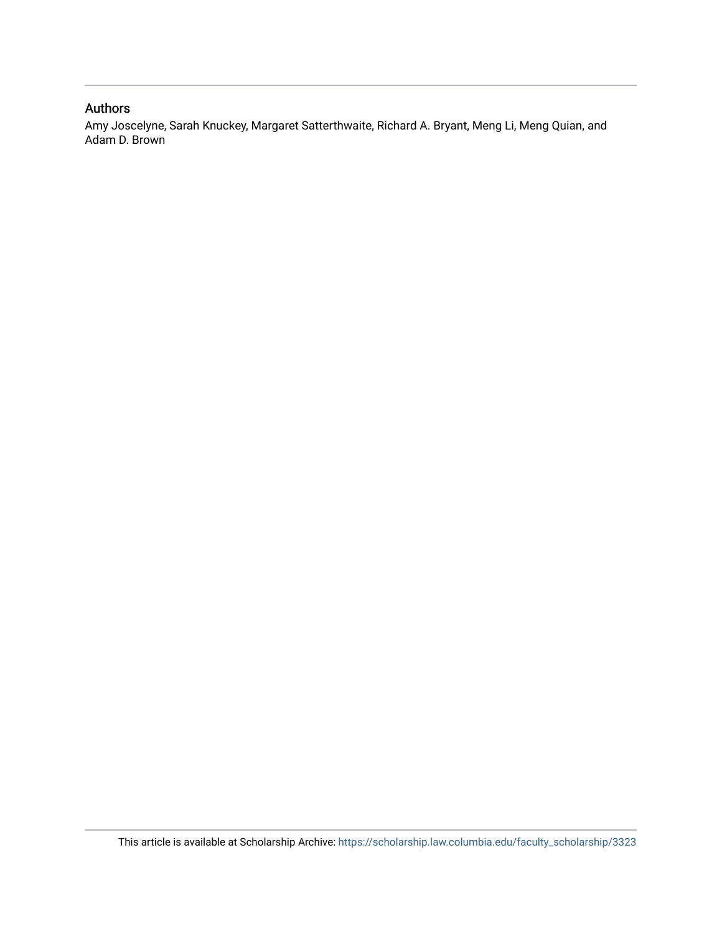# Authors

Amy Joscelyne, Sarah Knuckey, Margaret Satterthwaite, Richard A. Bryant, Meng Li, Meng Quian, and Adam D. Brown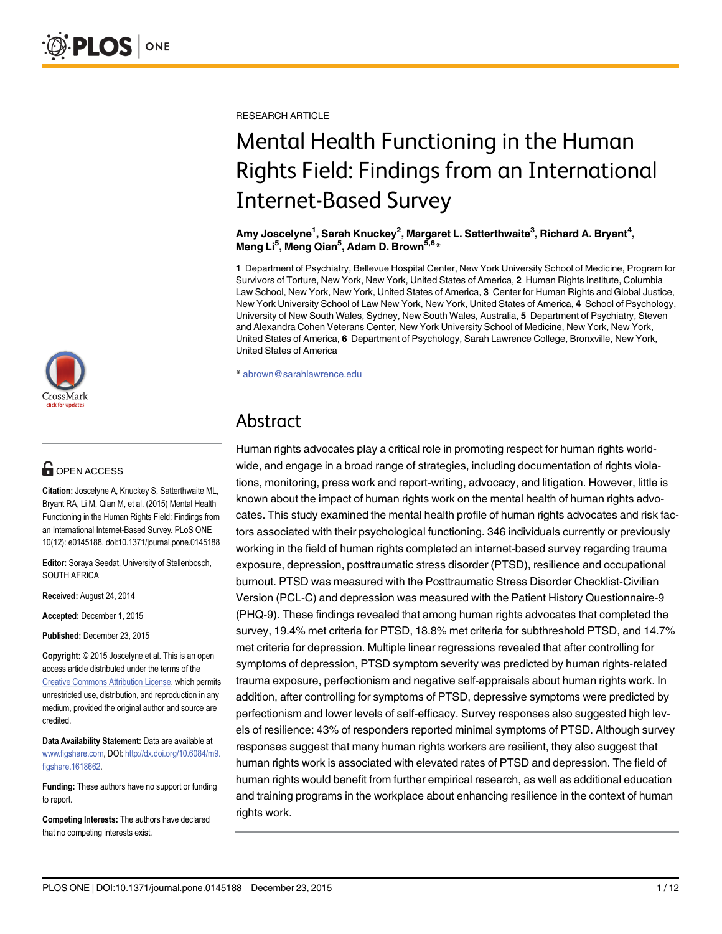

# **G** OPEN ACCESS

Citation: Joscelyne A, Knuckey S, Satterthwaite ML, Bryant RA, Li M, Qian M, et al. (2015) Mental Health Functioning in the Human Rights Field: Findings from an International Internet-Based Survey. PLoS ONE 10(12): e0145188. doi:10.1371/journal.pone.0145188

Editor: Soraya Seedat, University of Stellenbosch, SOUTH AFRICA

Received: August 24, 2014

Accepted: December 1, 2015

Published: December 23, 2015

Copyright: © 2015 Joscelyne et al. This is an open access article distributed under the terms of the [Creative Commons Attribution License,](http://creativecommons.org/licenses/by/4.0/) which permits unrestricted use, distribution, and reproduction in any medium, provided the original author and source are credited.

Data Availability Statement: Data are available at [www.figshare.com,](http://www.figshare.com) DOI: [http://dx.doi.org/10.6084/m9.](http://dx.doi.org/10.6084/m9.figshare.1618662) [figshare.1618662](http://dx.doi.org/10.6084/m9.figshare.1618662).

Funding: These authors have no support or funding to report.

Competing Interests: The authors have declared that no competing interests exist.

RESEARCH ARTICLE

# Mental Health Functioning in the Human Rights Field: Findings from an International Internet-Based Survey

Amy Joscelyne<sup>1</sup>, Sarah Knuckey<sup>2</sup>, Margaret L. Satterthwaite<sup>3</sup>, Richard A. Bryant<sup>4</sup>, Meng Li<sup>5</sup>, Meng Qian<sup>5</sup>, Adam D. Brown<sup>5,6\*</sup>

1 Department of Psychiatry, Bellevue Hospital Center, New York University School of Medicine, Program for Survivors of Torture, New York, New York, United States of America, 2 Human Rights Institute, Columbia Law School, New York, New York, United States of America, 3 Center for Human Rights and Global Justice, New York University School of Law New York, New York, United States of America, 4 School of Psychology, University of New South Wales, Sydney, New South Wales, Australia, 5 Department of Psychiatry, Steven and Alexandra Cohen Veterans Center, New York University School of Medicine, New York, New York, United States of America, 6 Department of Psychology, Sarah Lawrence College, Bronxville, New York, United States of America

\* abrown@sarahlawrence.edu

# Abstract

Human rights advocates play a critical role in promoting respect for human rights worldwide, and engage in a broad range of strategies, including documentation of rights violations, monitoring, press work and report-writing, advocacy, and litigation. However, little is known about the impact of human rights work on the mental health of human rights advocates. This study examined the mental health profile of human rights advocates and risk factors associated with their psychological functioning. 346 individuals currently or previously working in the field of human rights completed an internet-based survey regarding trauma exposure, depression, posttraumatic stress disorder (PTSD), resilience and occupational burnout. PTSD was measured with the Posttraumatic Stress Disorder Checklist-Civilian Version (PCL-C) and depression was measured with the Patient History Questionnaire-9 (PHQ-9). These findings revealed that among human rights advocates that completed the survey, 19.4% met criteria for PTSD, 18.8% met criteria for subthreshold PTSD, and 14.7% met criteria for depression. Multiple linear regressions revealed that after controlling for symptoms of depression, PTSD symptom severity was predicted by human rights-related trauma exposure, perfectionism and negative self-appraisals about human rights work. In addition, after controlling for symptoms of PTSD, depressive symptoms were predicted by perfectionism and lower levels of self-efficacy. Survey responses also suggested high levels of resilience: 43% of responders reported minimal symptoms of PTSD. Although survey responses suggest that many human rights workers are resilient, they also suggest that human rights work is associated with elevated rates of PTSD and depression. The field of human rights would benefit from further empirical research, as well as additional education and training programs in the workplace about enhancing resilience in the context of human rights work.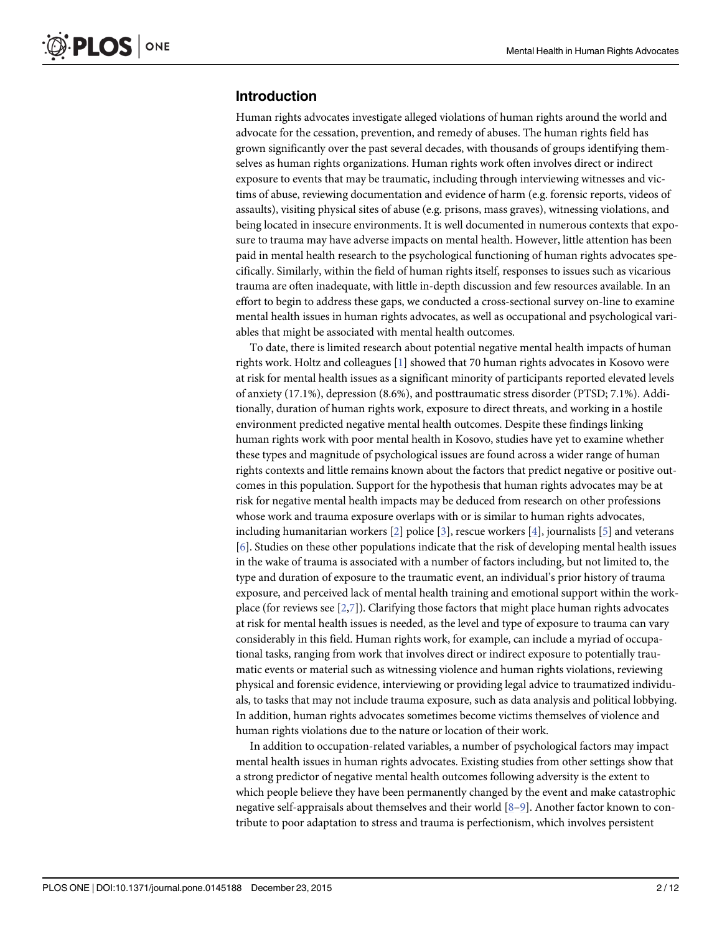# <span id="page-3-0"></span>Introduction

Human rights advocates investigate alleged violations of human rights around the world and advocate for the cessation, prevention, and remedy of abuses. The human rights field has grown significantly over the past several decades, with thousands of groups identifying themselves as human rights organizations. Human rights work often involves direct or indirect exposure to events that may be traumatic, including through interviewing witnesses and victims of abuse, reviewing documentation and evidence of harm (e.g. forensic reports, videos of assaults), visiting physical sites of abuse (e.g. prisons, mass graves), witnessing violations, and being located in insecure environments. It is well documented in numerous contexts that exposure to trauma may have adverse impacts on mental health. However, little attention has been paid in mental health research to the psychological functioning of human rights advocates specifically. Similarly, within the field of human rights itself, responses to issues such as vicarious trauma are often inadequate, with little in-depth discussion and few resources available. In an effort to begin to address these gaps, we conducted a cross-sectional survey on-line to examine mental health issues in human rights advocates, as well as occupational and psychological variables that might be associated with mental health outcomes.

To date, there is limited research about potential negative mental health impacts of human rights work. Holtz and colleagues [\[1](#page-12-0)] showed that 70 human rights advocates in Kosovo were at risk for mental health issues as a significant minority of participants reported elevated levels of anxiety (17.1%), depression (8.6%), and posttraumatic stress disorder (PTSD; 7.1%). Additionally, duration of human rights work, exposure to direct threats, and working in a hostile environment predicted negative mental health outcomes. Despite these findings linking human rights work with poor mental health in Kosovo, studies have yet to examine whether these types and magnitude of psychological issues are found across a wider range of human rights contexts and little remains known about the factors that predict negative or positive outcomes in this population. Support for the hypothesis that human rights advocates may be at risk for negative mental health impacts may be deduced from research on other professions whose work and trauma exposure overlaps with or is similar to human rights advocates, including humanitarian workers  $[2]$  police  $[3]$  $[3]$ , rescue workers  $[4]$ , journalists  $[5]$  and veterans [\[6](#page-12-0)]. Studies on these other populations indicate that the risk of developing mental health issues in the wake of trauma is associated with a number of factors including, but not limited to, the type and duration of exposure to the traumatic event, an individual's prior history of trauma exposure, and perceived lack of mental health training and emotional support within the workplace (for reviews see  $[2,7]$  $[2,7]$ ). Clarifying those factors that might place human rights advocates at risk for mental health issues is needed, as the level and type of exposure to trauma can vary considerably in this field. Human rights work, for example, can include a myriad of occupational tasks, ranging from work that involves direct or indirect exposure to potentially traumatic events or material such as witnessing violence and human rights violations, reviewing physical and forensic evidence, interviewing or providing legal advice to traumatized individuals, to tasks that may not include trauma exposure, such as data analysis and political lobbying. In addition, human rights advocates sometimes become victims themselves of violence and human rights violations due to the nature or location of their work.

In addition to occupation-related variables, a number of psychological factors may impact mental health issues in human rights advocates. Existing studies from other settings show that a strong predictor of negative mental health outcomes following adversity is the extent to which people believe they have been permanently changed by the event and make catastrophic negative self-appraisals about themselves and their world [\[8](#page-12-0)–[9\]](#page-12-0). Another factor known to contribute to poor adaptation to stress and trauma is perfectionism, which involves persistent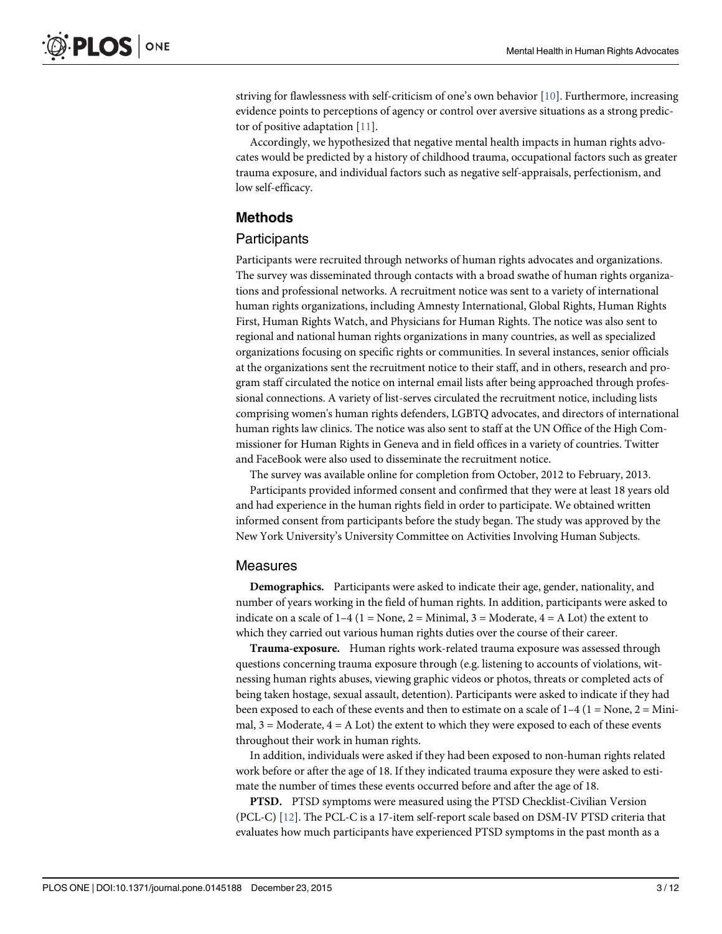<span id="page-4-0"></span>striving for flawlessness with self-criticism of one's own behavior [[10](#page-12-0)]. Furthermore, increasing evidence points to perceptions of agency or control over aversive situations as a strong predictor of positive adaptation  $[11]$ .

Accordingly, we hypothesized that negative mental health impacts in human rights advocates would be predicted by a history of childhood trauma, occupational factors such as greater trauma exposure, and individual factors such as negative self-appraisals, perfectionism, and low self-efficacy.

# Methods

### **Participants**

Participants were recruited through networks of human rights advocates and organizations. The survey was disseminated through contacts with a broad swathe of human rights organizations and professional networks. A recruitment notice was sent to a variety of international human rights organizations, including Amnesty International, Global Rights, Human Rights First, Human Rights Watch, and Physicians for Human Rights. The notice was also sent to regional and national human rights organizations in many countries, as well as specialized organizations focusing on specific rights or communities. In several instances, senior officials at the organizations sent the recruitment notice to their staff, and in others, research and program staff circulated the notice on internal email lists after being approached through professional connections. A variety of list-serves circulated the recruitment notice, including lists comprising women's human rights defenders, LGBTQ advocates, and directors of international human rights law clinics. The notice was also sent to staff at the UN Office of the High Commissioner for Human Rights in Geneva and in field offices in a variety of countries. Twitter and FaceBook were also used to disseminate the recruitment notice.

The survey was available online for completion from October, 2012 to February, 2013.

Participants provided informed consent and confirmed that they were at least 18 years old and had experience in the human rights field in order to participate. We obtained written informed consent from participants before the study began. The study was approved by the New York University's University Committee on Activities Involving Human Subjects.

#### Measures

Demographics. Participants were asked to indicate their age, gender, nationality, and number of years working in the field of human rights. In addition, participants were asked to indicate on a scale of  $1-4$  ( $1 =$  None,  $2 =$  Minimal,  $3 =$  Moderate,  $4 =$  A Lot) the extent to which they carried out various human rights duties over the course of their career.

Trauma-exposure. Human rights work-related trauma exposure was assessed through questions concerning trauma exposure through (e.g. listening to accounts of violations, witnessing human rights abuses, viewing graphic videos or photos, threats or completed acts of being taken hostage, sexual assault, detention). Participants were asked to indicate if they had been exposed to each of these events and then to estimate on a scale of  $1-4$  ( $1 =$ None,  $2 =$ Minimal,  $3 =$  Moderate,  $4 = A$  Lot) the extent to which they were exposed to each of these events throughout their work in human rights.

In addition, individuals were asked if they had been exposed to non-human rights related work before or after the age of 18. If they indicated trauma exposure they were asked to estimate the number of times these events occurred before and after the age of 18.

PTSD. PTSD symptoms were measured using the PTSD Checklist-Civilian Version (PCL-C) [\[12\]](#page-12-0). The PCL-C is a 17-item self-report scale based on DSM-IV PTSD criteria that evaluates how much participants have experienced PTSD symptoms in the past month as a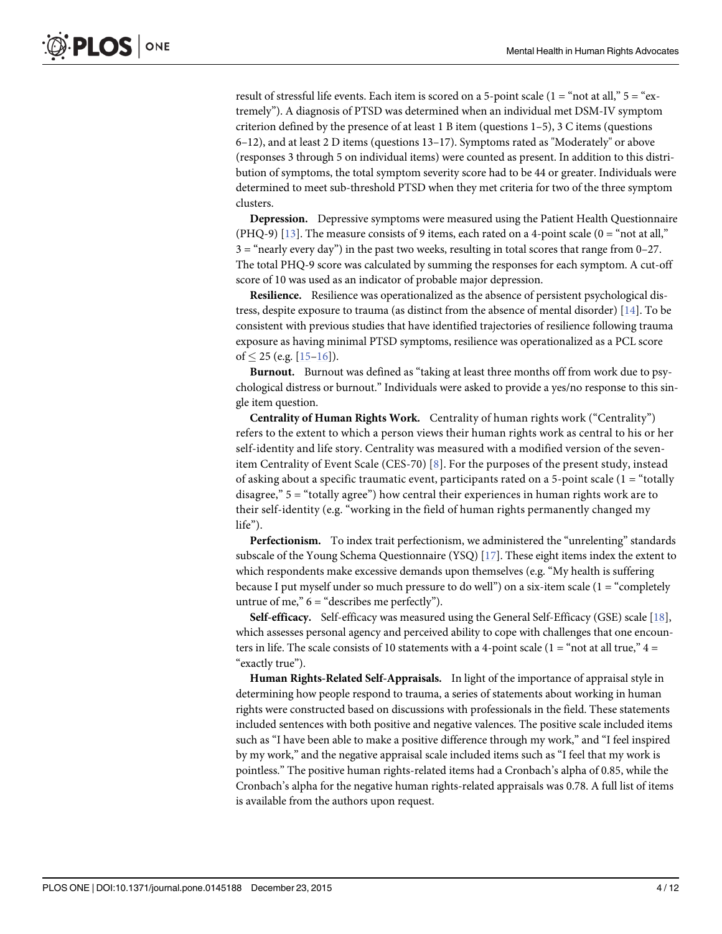<span id="page-5-0"></span>result of stressful life events. Each item is scored on a 5-point scale  $(1 = "not at all," 5 = "ex$ tremely"). A diagnosis of PTSD was determined when an individual met DSM-IV symptom criterion defined by the presence of at least 1 B item (questions  $1-5$ ), 3 C items (questions 6–12), and at least 2 D items (questions 13–17). Symptoms rated as "Moderately" or above (responses 3 through 5 on individual items) were counted as present. In addition to this distribution of symptoms, the total symptom severity score had to be 44 or greater. Individuals were determined to meet sub-threshold PTSD when they met criteria for two of the three symptom clusters.

Depression. Depressive symptoms were measured using the Patient Health Questionnaire (PHQ-9)  $[13]$  $[13]$  $[13]$ . The measure consists of 9 items, each rated on a 4-point scale (0 = "not at all,"  $3 =$  "nearly every day") in the past two weeks, resulting in total scores that range from 0–27. The total PHQ-9 score was calculated by summing the responses for each symptom. A cut-off score of 10 was used as an indicator of probable major depression.

**Resilience.** Resilience was operationalized as the absence of persistent psychological distress, despite exposure to trauma (as distinct from the absence of mental disorder) [[14](#page-12-0)]. To be consistent with previous studies that have identified trajectories of resilience following trauma exposure as having minimal PTSD symptoms, resilience was operationalized as a PCL score of  $\leq$  25 (e.g. [\[15](#page-12-0)–[16](#page-12-0)]).

Burnout. Burnout was defined as "taking at least three months off from work due to psychological distress or burnout." Individuals were asked to provide a yes/no response to this single item question.

Centrality of Human Rights Work. Centrality of human rights work ("Centrality") refers to the extent to which a person views their human rights work as central to his or her self-identity and life story. Centrality was measured with a modified version of the sevenitem Centrality of Event Scale (CES-70) [[8\]](#page-12-0). For the purposes of the present study, instead of asking about a specific traumatic event, participants rated on a 5-point scale (1 = "totally disagree,"  $5 =$ "totally agree") how central their experiences in human rights work are to their self-identity (e.g. "working in the field of human rights permanently changed my life").

Perfectionism. To index trait perfectionism, we administered the "unrelenting" standards subscale of the Young Schema Questionnaire (YSQ) [\[17\]](#page-13-0). These eight items index the extent to which respondents make excessive demands upon themselves (e.g. "My health is suffering because I put myself under so much pressure to do well") on a six-item scale  $(1 = \text{``completely})$ untrue of me,"  $6 = "describes me perfectly"$ ).

Self-efficacy. Self-efficacy was measured using the General Self-Efficacy (GSE) scale [\[18\]](#page-13-0), which assesses personal agency and perceived ability to cope with challenges that one encounters in life. The scale consists of 10 statements with a 4-point scale ( $1 =$ "not at all true,"  $4 =$ "exactly true").

Human Rights-Related Self-Appraisals. In light of the importance of appraisal style in determining how people respond to trauma, a series of statements about working in human rights were constructed based on discussions with professionals in the field. These statements included sentences with both positive and negative valences. The positive scale included items such as "I have been able to make a positive difference through my work," and "I feel inspired by my work," and the negative appraisal scale included items such as "I feel that my work is pointless." The positive human rights-related items had a Cronbach's alpha of 0.85, while the Cronbach's alpha for the negative human rights-related appraisals was 0.78. A full list of items is available from the authors upon request.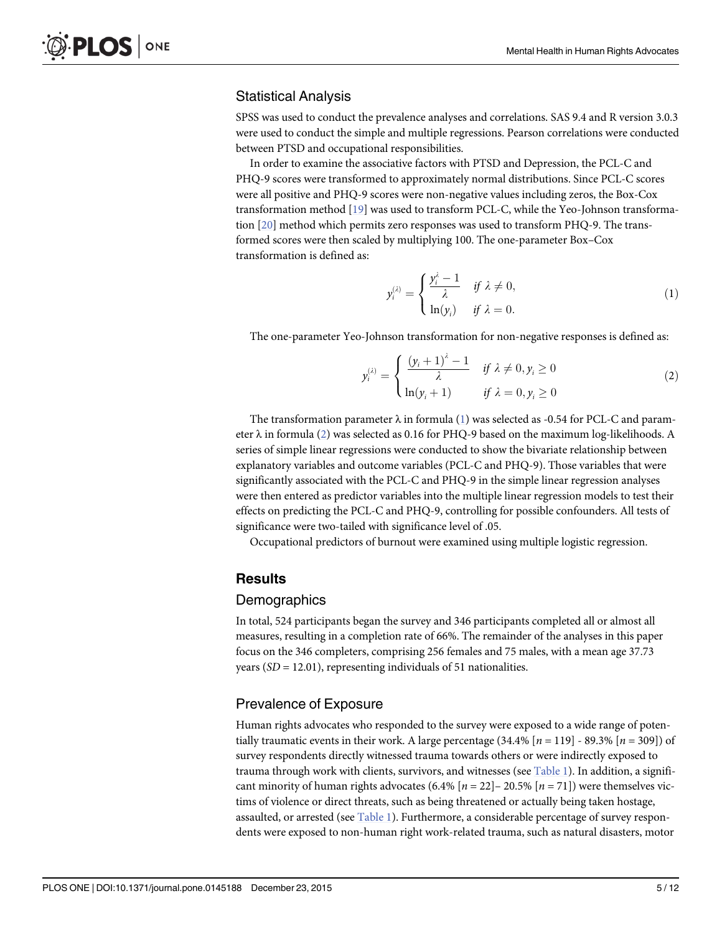# <span id="page-6-0"></span>Statistical Analysis

SPSS was used to conduct the prevalence analyses and correlations. SAS 9.4 and R version 3.0.3 were used to conduct the simple and multiple regressions. Pearson correlations were conducted between PTSD and occupational responsibilities.

In order to examine the associative factors with PTSD and Depression, the PCL-C and PHQ-9 scores were transformed to approximately normal distributions. Since PCL-C scores were all positive and PHQ-9 scores were non-negative values including zeros, the Box-Cox transformation method [[19\]](#page-13-0) was used to transform PCL-C, while the Yeo-Johnson transformation [[20](#page-13-0)] method which permits zero responses was used to transform PHQ-9. The transformed scores were then scaled by multiplying 100. The one-parameter Box–Cox transformation is defined as:

$$
y_i^{(\lambda)} = \begin{cases} \frac{y_i^{\lambda} - 1}{\lambda} & \text{if } \lambda \neq 0, \\ \ln(y_i) & \text{if } \lambda = 0. \end{cases}
$$
 (1)

The one-parameter Yeo-Johnson transformation for non-negative responses is defined as:

$$
y_i^{(\lambda)} = \begin{cases} \frac{(y_i + 1)^{\lambda} - 1}{\lambda} & \text{if } \lambda \neq 0, y_i \ge 0\\ \ln(y_i + 1) & \text{if } \lambda = 0, y_i \ge 0 \end{cases}
$$
 (2)

The transformation parameter  $\lambda$  in formula (1) was selected as -0.54 for PCL-C and parameter  $\lambda$  in formula (2) was selected as 0.16 for PHQ-9 based on the maximum log-likelihoods. A series of simple linear regressions were conducted to show the bivariate relationship between explanatory variables and outcome variables (PCL-C and PHQ-9). Those variables that were significantly associated with the PCL-C and PHQ-9 in the simple linear regression analyses were then entered as predictor variables into the multiple linear regression models to test their effects on predicting the PCL-C and PHQ-9, controlling for possible confounders. All tests of significance were two-tailed with significance level of .05.

Occupational predictors of burnout were examined using multiple logistic regression.

# **Results**

#### Demographics

In total, 524 participants began the survey and 346 participants completed all or almost all measures, resulting in a completion rate of 66%. The remainder of the analyses in this paper focus on the 346 completers, comprising 256 females and 75 males, with a mean age 37.73 years  $(SD = 12.01)$ , representing individuals of 51 nationalities.

# Prevalence of Exposure

Human rights advocates who responded to the survey were exposed to a wide range of potentially traumatic events in their work. A large percentage  $(34.4\%$  [ $n = 119$ ] - 89.3% [ $n = 309$ ]) of survey respondents directly witnessed trauma towards others or were indirectly exposed to trauma through work with clients, survivors, and witnesses (see [Table 1](#page-7-0)). In addition, a significant minority of human rights advocates (6.4%  $[n = 22]$  – 20.5%  $[n = 71]$ ) were themselves victims of violence or direct threats, such as being threatened or actually being taken hostage, assaulted, or arrested (see [Table 1](#page-7-0)). Furthermore, a considerable percentage of survey respondents were exposed to non-human right work-related trauma, such as natural disasters, motor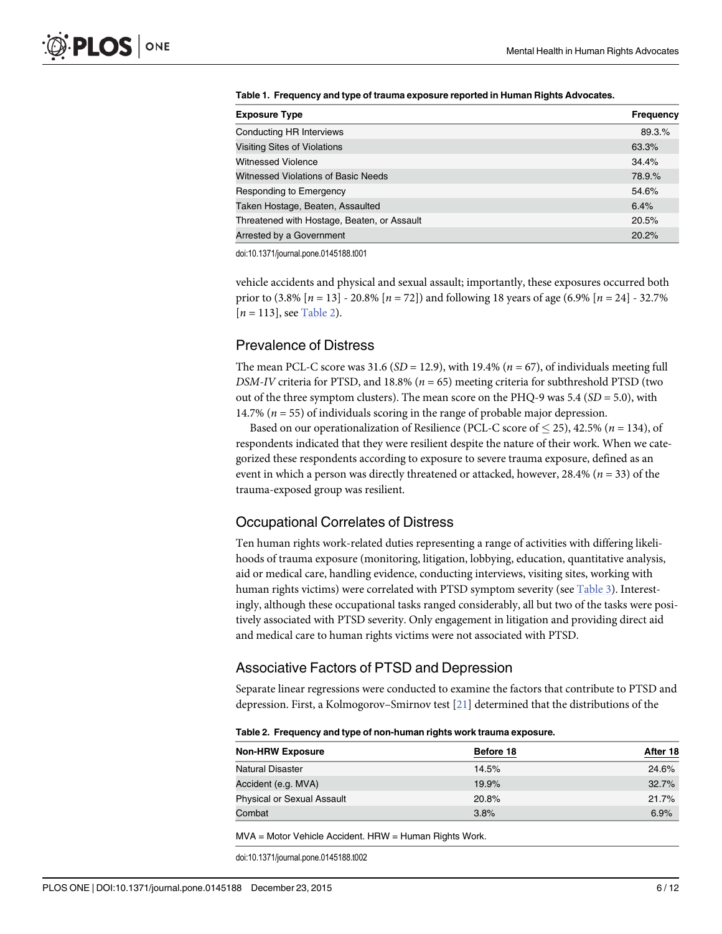<span id="page-7-0"></span>

|  | Table 1. Frequency and type of trauma exposure reported in Human Rights Advocates. |
|--|------------------------------------------------------------------------------------|
|  |                                                                                    |

| <b>Exposure Type</b>                        | <b>Frequency</b> |
|---------------------------------------------|------------------|
| Conducting HR Interviews                    | 89.3.%           |
| <b>Visiting Sites of Violations</b>         | 63.3%            |
| <b>Witnessed Violence</b>                   | 34.4%            |
| Witnessed Violations of Basic Needs         | 78.9.%           |
| Responding to Emergency                     | 54.6%            |
| Taken Hostage, Beaten, Assaulted            | 6.4%             |
| Threatened with Hostage, Beaten, or Assault | 20.5%            |
| Arrested by a Government                    | 20.2%            |

doi:10.1371/journal.pone.0145188.t001

vehicle accidents and physical and sexual assault; importantly, these exposures occurred both prior to  $(3.8\%~[n=13] - 20.8\%~[n=72])$  and following 18 years of age  $(6.9\%~[n=24] - 32.7\%$  $[n = 113]$ , see Table 2).

# Prevalence of Distress

The mean PCL-C score was 31.6 ( $SD = 12.9$ ), with 19.4% ( $n = 67$ ), of individuals meeting full DSM-IV criteria for PTSD, and 18.8% ( $n = 65$ ) meeting criteria for subthreshold PTSD (two out of the three symptom clusters). The mean score on the PHQ-9 was 5.4 ( $SD = 5.0$ ), with 14.7% ( $n = 55$ ) of individuals scoring in the range of probable major depression.

Based on our operationalization of Resilience (PCL-C score of  $\leq$  25), 42.5% (n = 134), of respondents indicated that they were resilient despite the nature of their work. When we categorized these respondents according to exposure to severe trauma exposure, defined as an event in which a person was directly threatened or attacked, however, 28.4% ( $n = 33$ ) of the trauma-exposed group was resilient.

# Occupational Correlates of Distress

Ten human rights work-related duties representing a range of activities with differing likelihoods of trauma exposure (monitoring, litigation, lobbying, education, quantitative analysis, aid or medical care, handling evidence, conducting interviews, visiting sites, working with human rights victims) were correlated with PTSD symptom severity (see [Table 3\)](#page-8-0). Interestingly, although these occupational tasks ranged considerably, all but two of the tasks were positively associated with PTSD severity. Only engagement in litigation and providing direct aid and medical care to human rights victims were not associated with PTSD.

# Associative Factors of PTSD and Depression

Separate linear regressions were conducted to examine the factors that contribute to PTSD and depression. First, a Kolmogorov–Smirnov test [\[21\]](#page-13-0) determined that the distributions of the

|  |  | Table 2. Frequency and type of non-human rights work trauma exposure. |  |
|--|--|-----------------------------------------------------------------------|--|
|--|--|-----------------------------------------------------------------------|--|

| <b>Non-HRW Exposure</b>           | Before 18 | After 18 |
|-----------------------------------|-----------|----------|
| Natural Disaster                  | 14.5%     | 24.6%    |
| Accident (e.g. MVA)               | 19.9%     | 32.7%    |
| <b>Physical or Sexual Assault</b> | 20.8%     | 21.7%    |
| Combat                            | 3.8%      | 6.9%     |

MVA = Motor Vehicle Accident. HRW = Human Rights Work.

doi:10.1371/journal.pone.0145188.t002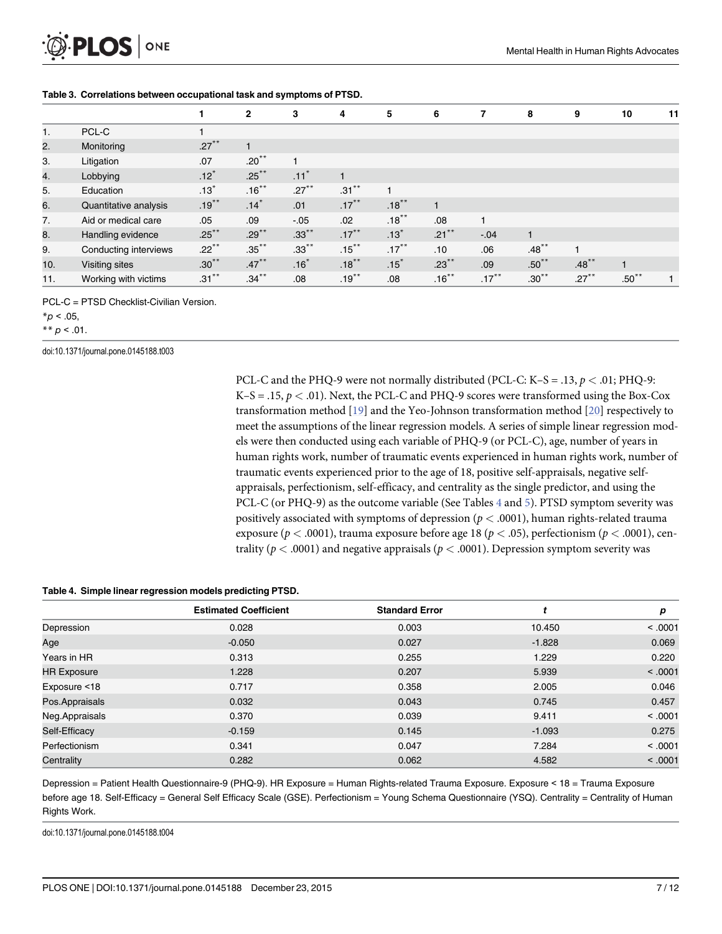<span id="page-8-0"></span>

|     |                       |          | $\mathbf{2}$ | 3                  | 4        | 5        | 6        | 7                    | 8          | 9        | 10       | 11 |
|-----|-----------------------|----------|--------------|--------------------|----------|----------|----------|----------------------|------------|----------|----------|----|
| 1.  | PCL-C                 |          |              |                    |          |          |          |                      |            |          |          |    |
| 2.  | Monitoring            | $.27***$ |              |                    |          |          |          |                      |            |          |          |    |
| 3.  | Litigation            | .07      | $.20***$     |                    |          |          |          |                      |            |          |          |    |
| 4.  | Lobbying              | $.12*$   | $.25***$     | $.11$ <sup>*</sup> |          |          |          |                      |            |          |          |    |
| 5.  | Education             | $.13*$   | $.16***$     | $.27***$           | $.31***$ |          |          |                      |            |          |          |    |
| 6.  | Quantitative analysis | $.19***$ | $.14*$       | .01                | $.17***$ | $.18***$ |          |                      |            |          |          |    |
| 7.  | Aid or medical care   | .05      | .09          | $-.05$             | .02      | $.18***$ | .08      | $\blacktriangleleft$ |            |          |          |    |
| 8.  | Handling evidence     | $.25***$ | $.29***$     | $.33***$           | $.17***$ | $.13*$   | $.21***$ | $-.04$               |            |          |          |    |
| 9.  | Conducting interviews | $.22***$ | $.35***$     | $.33***$           | $.15***$ | $.17***$ | .10      | .06                  | $.48***$   |          |          |    |
| 10. | Visiting sites        | $.30***$ | $.47***$     | .16                | $.18***$ | .15      | $.23***$ | .09                  | $.50^{**}$ | $.48***$ |          |    |
| 11. | Working with victims  | $.31***$ | $.34***$     | .08                | $.19***$ | .08      | $.16***$ | $.17***$             | $.30***$   | $.27***$ | $.50***$ |    |

#### [Table 3.](#page-7-0) Correlations between occupational task and symptoms of PTSD.

PCL-C = PTSD Checklist-Civilian Version.

 $*_{p}$  < .05,

\*\*  $p < .01$ .

doi:10.1371/journal.pone.0145188.t003

PCL-C and the PHQ-9 were not normally distributed (PCL-C: K–S = .13,  $p < .01$ ; PHQ-9:  $K-S = .15, p < .01$ ). Next, the PCL-C and PHQ-9 scores were transformed using the Box-Cox transformation method  $[19]$  $[19]$  and the Yeo-Johnson transformation method  $[20]$  respectively to meet the assumptions of the linear regression models. A series of simple linear regression models were then conducted using each variable of PHQ-9 (or PCL-C), age, number of years in human rights work, number of traumatic events experienced in human rights work, number of traumatic events experienced prior to the age of 18, positive self-appraisals, negative selfappraisals, perfectionism, self-efficacy, and centrality as the single predictor, and using the PCL-C (or PHQ-9) as the outcome variable (See Tables  $4$  and  $5$ ). PTSD symptom severity was positively associated with symptoms of depression ( $p < .0001$ ), human rights-related trauma exposure ( $p < .0001$ ), trauma exposure before age 18 ( $p < .05$ ), perfectionism ( $p < .0001$ ), centrality ( $p < .0001$ ) and negative appraisals ( $p < .0001$ ). Depression symptom severity was

#### Table 4. Simple linear regression models predicting PTSD.

|                    | <b>Estimated Coefficient</b> | <b>Standard Error</b> |          | р       |
|--------------------|------------------------------|-----------------------|----------|---------|
| Depression         | 0.028                        | 0.003                 | 10.450   | < .0001 |
| Age                | $-0.050$                     | 0.027                 | $-1.828$ | 0.069   |
| Years in HR        | 0.313                        | 0.255                 | 1.229    | 0.220   |
| <b>HR Exposure</b> | 1.228                        | 0.207                 | 5.939    | < .0001 |
| Exposure <18       | 0.717                        | 0.358                 | 2.005    | 0.046   |
| Pos.Appraisals     | 0.032                        | 0.043                 | 0.745    | 0.457   |
| Neg.Appraisals     | 0.370                        | 0.039                 | 9.411    | < 0.001 |
| Self-Efficacy      | $-0.159$                     | 0.145                 | $-1.093$ | 0.275   |
| Perfectionism      | 0.341                        | 0.047                 | 7.284    | < .0001 |
| Centrality         | 0.282                        | 0.062                 | 4.582    | < .0001 |

Depression = Patient Health Questionnaire-9 (PHQ-9). HR Exposure = Human Rights-related Trauma Exposure. Exposure < 18 = Trauma Exposure before age 18. Self-Efficacy = General Self Efficacy Scale (GSE). Perfectionism = Young Schema Questionnaire (YSQ). Centrality = Centrality of Human Rights Work.

doi:10.1371/journal.pone.0145188.t004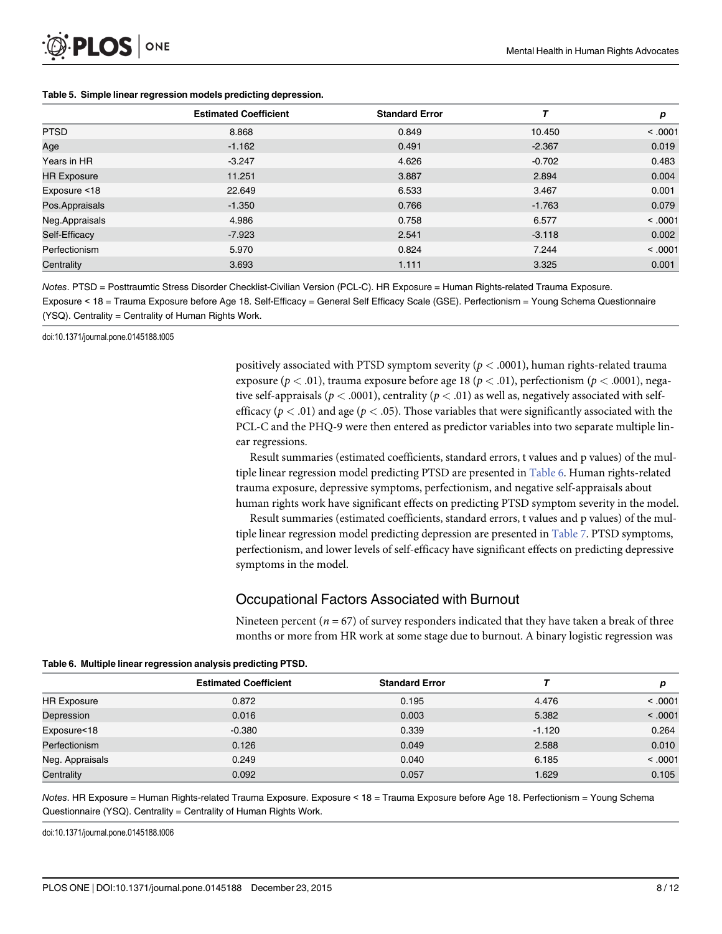<span id="page-9-0"></span>

|                    | <b>Estimated Coefficient</b> | <b>Standard Error</b> |          | р       |
|--------------------|------------------------------|-----------------------|----------|---------|
| <b>PTSD</b>        | 8.868                        | 0.849                 | 10.450   | < 0.001 |
| Age                | $-1.162$                     | 0.491                 | $-2.367$ | 0.019   |
| Years in HR        | $-3.247$                     | 4.626                 | $-0.702$ | 0.483   |
| <b>HR Exposure</b> | 11.251                       | 3.887                 | 2.894    | 0.004   |
| Exposure <18       | 22.649                       | 6.533                 | 3.467    | 0.001   |
| Pos.Appraisals     | $-1.350$                     | 0.766                 | $-1.763$ | 0.079   |
| Neg.Appraisals     | 4.986                        | 0.758                 | 6.577    | < 0.001 |
| Self-Efficacy      | -7.923                       | 2.541                 | $-3.118$ | 0.002   |
| Perfectionism      | 5.970                        | 0.824                 | 7.244    | < 0.001 |
| Centrality         | 3.693                        | 1.111                 | 3.325    | 0.001   |

#### [Table 5.](#page-8-0) Simple linear regression models predicting depression.

Notes. PTSD = Posttraumtic Stress Disorder Checklist-Civilian Version (PCL-C). HR Exposure = Human Rights-related Trauma Exposure. Exposure < 18 = Trauma Exposure before Age 18. Self-Efficacy = General Self Efficacy Scale (GSE). Perfectionism = Young Schema Questionnaire (YSQ). Centrality = Centrality of Human Rights Work.

doi:10.1371/journal.pone.0145188.t005

positively associated with PTSD symptom severity ( $p < .0001$ ), human rights-related trauma exposure ( $p < .01$ ), trauma exposure before age 18 ( $p < .01$ ), perfectionism ( $p < .0001$ ), negative self-appraisals ( $p < .0001$ ), centrality ( $p < .01$ ) as well as, negatively associated with selfefficacy ( $p < .01$ ) and age ( $p < .05$ ). Those variables that were significantly associated with the PCL-C and the PHQ-9 were then entered as predictor variables into two separate multiple linear regressions.

Result summaries (estimated coefficients, standard errors, t values and p values) of the multiple linear regression model predicting PTSD are presented in Table 6. Human rights-related trauma exposure, depressive symptoms, perfectionism, and negative self-appraisals about human rights work have significant effects on predicting PTSD symptom severity in the model.

Result summaries (estimated coefficients, standard errors, t values and p values) of the mul-tiple linear regression model predicting depression are presented in [Table 7](#page-10-0). PTSD symptoms, perfectionism, and lower levels of self-efficacy have significant effects on predicting depressive symptoms in the model.

# Occupational Factors Associated with Burnout

Nineteen percent ( $n = 67$ ) of survey responders indicated that they have taken a break of three months or more from HR work at some stage due to burnout. A binary logistic regression was

| <b>19810 of manipromoan regression analysis prodicting river</b> |                              |                       |          |         |  |  |
|------------------------------------------------------------------|------------------------------|-----------------------|----------|---------|--|--|
|                                                                  | <b>Estimated Coefficient</b> | <b>Standard Error</b> |          | D       |  |  |
| <b>HR Exposure</b>                                               | 0.872                        | 0.195                 | 4.476    | < 0.001 |  |  |
| Depression                                                       | 0.016                        | 0.003                 | 5.382    | < .0001 |  |  |
| Exposure<18                                                      | $-0.380$                     | 0.339                 | $-1.120$ | 0.264   |  |  |
| Perfectionism                                                    | 0.126                        | 0.049                 | 2.588    | 0.010   |  |  |
| Neg. Appraisals                                                  | 0.249                        | 0.040                 | 6.185    | < .0001 |  |  |
| Centrality                                                       | 0.092                        | 0.057                 | 1.629    | 0.105   |  |  |

Table 6. Multiple linear regression analysis predicting PTSD.

Notes. HR Exposure = Human Rights-related Trauma Exposure. Exposure < 18 = Trauma Exposure before Age 18. Perfectionism = Young Schema Questionnaire (YSQ). Centrality = Centrality of Human Rights Work.

doi:10.1371/journal.pone.0145188.t006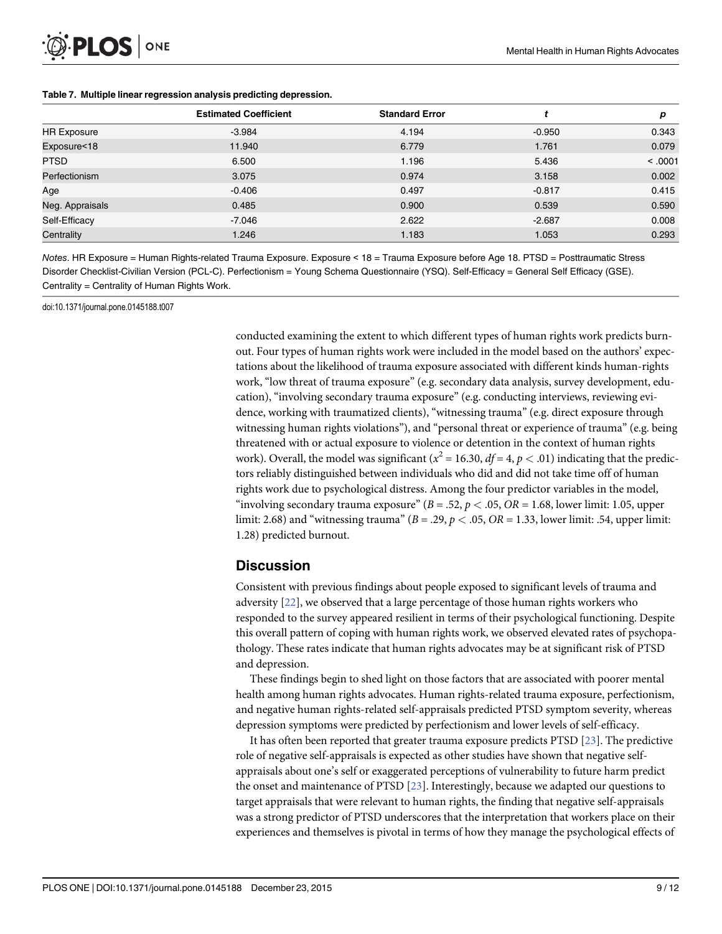<span id="page-10-0"></span>

|  | Table 7. Multiple linear regression analysis predicting depression. |  |  |  |  |
|--|---------------------------------------------------------------------|--|--|--|--|
|--|---------------------------------------------------------------------|--|--|--|--|

|                    | <b>Estimated Coefficient</b> | <b>Standard Error</b> |          | р       |
|--------------------|------------------------------|-----------------------|----------|---------|
| <b>HR Exposure</b> | $-3.984$                     | 4.194                 | $-0.950$ | 0.343   |
| Exposure<18        | 11.940                       | 6.779                 | 1.761    | 0.079   |
| <b>PTSD</b>        | 6.500                        | 1.196                 | 5.436    | < .0001 |
| Perfectionism      | 3.075                        | 0.974                 | 3.158    | 0.002   |
| Age                | $-0.406$                     | 0.497                 | $-0.817$ | 0.415   |
| Neg. Appraisals    | 0.485                        | 0.900                 | 0.539    | 0.590   |
| Self-Efficacy      | $-7.046$                     | 2.622                 | $-2.687$ | 0.008   |
| Centrality         | 1.246                        | 1.183                 | 1.053    | 0.293   |

Notes. HR Exposure = Human Rights-related Trauma Exposure. Exposure < 18 = Trauma Exposure before Age 18. PTSD = Posttraumatic Stress Disorder Checklist-Civilian Version (PCL-C). Perfectionism = Young Schema Questionnaire (YSQ). Self-Efficacy = General Self Efficacy (GSE). Centrality = Centrality of Human Rights Work.

doi:10.1371/journal.pone.0145188.t007

conducted examining the extent to which different types of human rights work predicts burnout. Four types of human rights work were included in the model based on the authors' expectations about the likelihood of trauma exposure associated with different kinds human-rights work, "low threat of trauma exposure" (e.g. secondary data analysis, survey development, education), "involving secondary trauma exposure" (e.g. conducting interviews, reviewing evidence, working with traumatized clients), "witnessing trauma" (e.g. direct exposure through witnessing human rights violations"), and "personal threat or experience of trauma" (e.g. being threatened with or actual exposure to violence or detention in the context of human rights work). Overall, the model was significant ( $x^2 = 16.30$ ,  $df = 4$ ,  $p < .01$ ) indicating that the predictors reliably distinguished between individuals who did and did not take time off of human rights work due to psychological distress. Among the four predictor variables in the model, "involving secondary trauma exposure" ( $B = .52$ ,  $p < .05$ ,  $OR = 1.68$ , lower limit: 1.05, upper limit: 2.68) and "witnessing trauma" ( $B = .29$ ,  $p < .05$ ,  $OR = 1.33$ , lower limit: .54, upper limit: 1.28) predicted burnout.

### **Discussion**

Consistent with previous findings about people exposed to significant levels of trauma and adversity [[22](#page-13-0)], we observed that a large percentage of those human rights workers who responded to the survey appeared resilient in terms of their psychological functioning. Despite this overall pattern of coping with human rights work, we observed elevated rates of psychopathology. These rates indicate that human rights advocates may be at significant risk of PTSD and depression.

These findings begin to shed light on those factors that are associated with poorer mental health among human rights advocates. Human rights-related trauma exposure, perfectionism, and negative human rights-related self-appraisals predicted PTSD symptom severity, whereas depression symptoms were predicted by perfectionism and lower levels of self-efficacy.

It has often been reported that greater trauma exposure predicts PTSD  $[23]$ . The predictive role of negative self-appraisals is expected as other studies have shown that negative selfappraisals about one's self or exaggerated perceptions of vulnerability to future harm predict the onset and maintenance of PTSD [\[23](#page-13-0)]. Interestingly, because we adapted our questions to target appraisals that were relevant to human rights, the finding that negative self-appraisals was a strong predictor of PTSD underscores that the interpretation that workers place on their experiences and themselves is pivotal in terms of how they manage the psychological effects of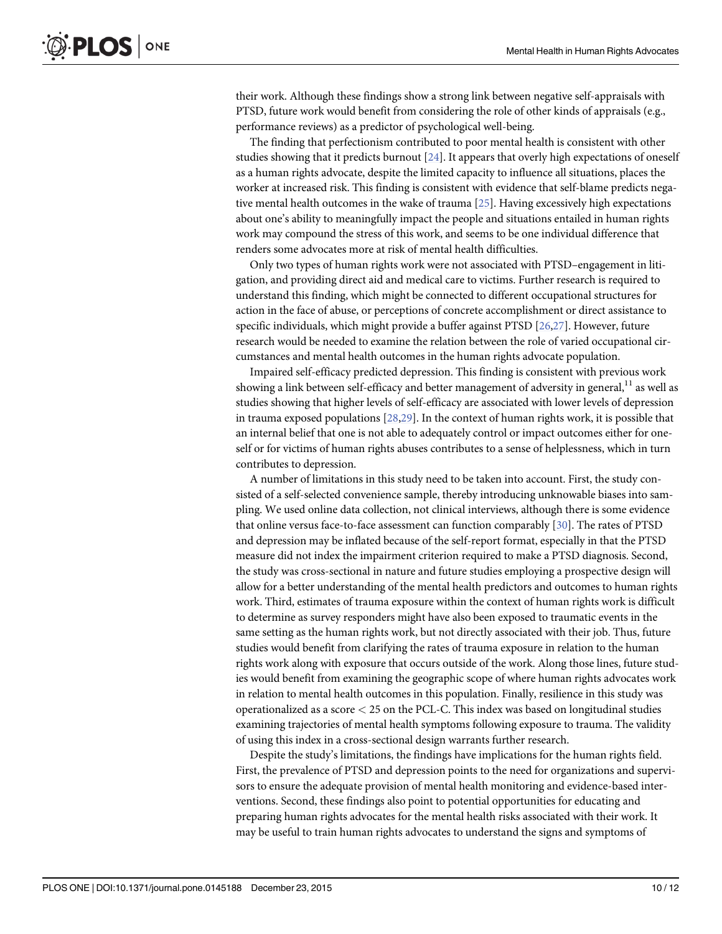<span id="page-11-0"></span>their work. Although these findings show a strong link between negative self-appraisals with PTSD, future work would benefit from considering the role of other kinds of appraisals (e.g., performance reviews) as a predictor of psychological well-being.

The finding that perfectionism contributed to poor mental health is consistent with other studies showing that it predicts burnout [[24\]](#page-13-0). It appears that overly high expectations of oneself as a human rights advocate, despite the limited capacity to influence all situations, places the worker at increased risk. This finding is consistent with evidence that self-blame predicts negative mental health outcomes in the wake of trauma [[25](#page-13-0)]. Having excessively high expectations about one's ability to meaningfully impact the people and situations entailed in human rights work may compound the stress of this work, and seems to be one individual difference that renders some advocates more at risk of mental health difficulties.

Only two types of human rights work were not associated with PTSD–engagement in litigation, and providing direct aid and medical care to victims. Further research is required to understand this finding, which might be connected to different occupational structures for action in the face of abuse, or perceptions of concrete accomplishment or direct assistance to specific individuals, which might provide a buffer against PTSD [\[26,27\]](#page-13-0). However, future research would be needed to examine the relation between the role of varied occupational circumstances and mental health outcomes in the human rights advocate population.

Impaired self-efficacy predicted depression. This finding is consistent with previous work showing a link between self-efficacy and better management of adversity in general, $11$  as well as studies showing that higher levels of self-efficacy are associated with lower levels of depression in trauma exposed populations  $[28,29]$ . In the context of human rights work, it is possible that an internal belief that one is not able to adequately control or impact outcomes either for oneself or for victims of human rights abuses contributes to a sense of helplessness, which in turn contributes to depression.

A number of limitations in this study need to be taken into account. First, the study consisted of a self-selected convenience sample, thereby introducing unknowable biases into sampling. We used online data collection, not clinical interviews, although there is some evidence that online versus face-to-face assessment can function comparably [[30](#page-13-0)]. The rates of PTSD and depression may be inflated because of the self-report format, especially in that the PTSD measure did not index the impairment criterion required to make a PTSD diagnosis. Second, the study was cross-sectional in nature and future studies employing a prospective design will allow for a better understanding of the mental health predictors and outcomes to human rights work. Third, estimates of trauma exposure within the context of human rights work is difficult to determine as survey responders might have also been exposed to traumatic events in the same setting as the human rights work, but not directly associated with their job. Thus, future studies would benefit from clarifying the rates of trauma exposure in relation to the human rights work along with exposure that occurs outside of the work. Along those lines, future studies would benefit from examining the geographic scope of where human rights advocates work in relation to mental health outcomes in this population. Finally, resilience in this study was operationalized as a score < 25 on the PCL-C. This index was based on longitudinal studies examining trajectories of mental health symptoms following exposure to trauma. The validity of using this index in a cross-sectional design warrants further research.

Despite the study's limitations, the findings have implications for the human rights field. First, the prevalence of PTSD and depression points to the need for organizations and supervisors to ensure the adequate provision of mental health monitoring and evidence-based interventions. Second, these findings also point to potential opportunities for educating and preparing human rights advocates for the mental health risks associated with their work. It may be useful to train human rights advocates to understand the signs and symptoms of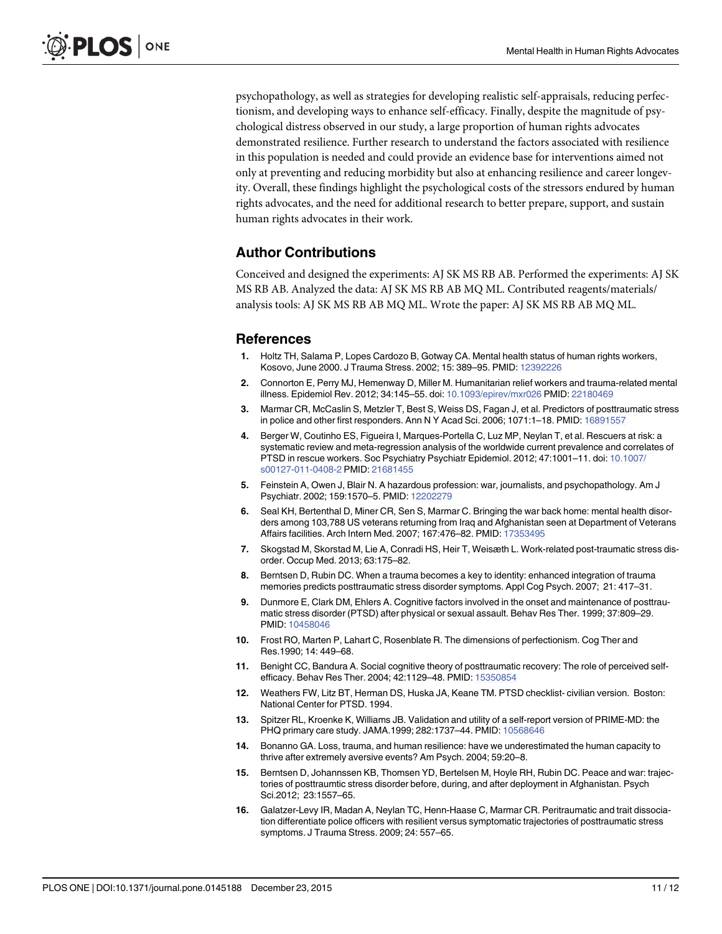<span id="page-12-0"></span>psychopathology, as well as strategies for developing realistic self-appraisals, reducing perfectionism, and developing ways to enhance self-efficacy. Finally, despite the magnitude of psychological distress observed in our study, a large proportion of human rights advocates demonstrated resilience. Further research to understand the factors associated with resilience in this population is needed and could provide an evidence base for interventions aimed not only at preventing and reducing morbidity but also at enhancing resilience and career longevity. Overall, these findings highlight the psychological costs of the stressors endured by human rights advocates, and the need for additional research to better prepare, support, and sustain human rights advocates in their work.

# Author Contributions

Conceived and designed the experiments: AJ SK MS RB AB. Performed the experiments: AJ SK MS RB AB. Analyzed the data: AJ SK MS RB AB MQ ML. Contributed reagents/materials/ analysis tools: AJ SK MS RB AB MQ ML. Wrote the paper: AJ SK MS RB AB MQ ML.

# References

- [1.](#page-3-0) Holtz TH, Salama P, Lopes Cardozo B, Gotway CA. Mental health status of human rights workers, Kosovo, June 2000. J Trauma Stress. 2002; 15: 389–95. PMID: [12392226](http://www.ncbi.nlm.nih.gov/pubmed/12392226)
- [2.](#page-3-0) Connorton E, Perry MJ, Hemenway D, Miller M. Humanitarian relief workers and trauma-related mental illness. Epidemiol Rev. 2012; 34:145–55. doi: [10.1093/epirev/mxr026](http://dx.doi.org/10.1093/epirev/mxr026) PMID: [22180469](http://www.ncbi.nlm.nih.gov/pubmed/22180469)
- [3.](#page-3-0) Marmar CR, McCaslin S, Metzler T, Best S, Weiss DS, Fagan J, et al. Predictors of posttraumatic stress in police and other first responders. Ann N Y Acad Sci. 2006; 1071:1–18. PMID: [16891557](http://www.ncbi.nlm.nih.gov/pubmed/16891557)
- [4.](#page-3-0) Berger W, Coutinho ES, Figueira I, Marques-Portella C, Luz MP, Neylan T, et al. Rescuers at risk: a systematic review and meta-regression analysis of the worldwide current prevalence and correlates of PTSD in rescue workers. Soc Psychiatry Psychiatr Epidemiol. 2012; 47:1001–11. doi: [10.1007/](http://dx.doi.org/10.1007/s00127-011-0408-2) [s00127-011-0408-2](http://dx.doi.org/10.1007/s00127-011-0408-2) PMID: [21681455](http://www.ncbi.nlm.nih.gov/pubmed/21681455)
- [5.](#page-3-0) Feinstein A, Owen J, Blair N. A hazardous profession: war, journalists, and psychopathology. Am J Psychiatr. 2002; 159:1570–5. PMID: [12202279](http://www.ncbi.nlm.nih.gov/pubmed/12202279)
- [6.](#page-3-0) Seal KH, Bertenthal D, Miner CR, Sen S, Marmar C. Bringing the war back home: mental health disorders among 103,788 US veterans returning from Iraq and Afghanistan seen at Department of Veterans Affairs facilities. Arch Intern Med. 2007; 167:476–82. PMID: [17353495](http://www.ncbi.nlm.nih.gov/pubmed/17353495)
- [7.](#page-3-0) Skogstad M, Skorstad M, Lie A, Conradi HS, Heir T, Weisæth L. Work-related post-traumatic stress disorder. Occup Med. 2013; 63:175–82.
- [8.](#page-3-0) Berntsen D, Rubin DC. When a trauma becomes a key to identity: enhanced integration of trauma memories predicts posttraumatic stress disorder symptoms. Appl Cog Psych. 2007; 21: 417–31.
- [9.](#page-3-0) Dunmore E, Clark DM, Ehlers A. Cognitive factors involved in the onset and maintenance of posttraumatic stress disorder (PTSD) after physical or sexual assault. Behav Res Ther. 1999; 37:809–29. PMID: [10458046](http://www.ncbi.nlm.nih.gov/pubmed/10458046)
- [10.](#page-4-0) Frost RO, Marten P, Lahart C, Rosenblate R. The dimensions of perfectionism. Cog Ther and Res.1990; 14: 449–68.
- [11.](#page-4-0) Benight CC, Bandura A. Social cognitive theory of posttraumatic recovery: The role of perceived selfefficacy. Behav Res Ther. 2004; 42:1129–48. PMID: [15350854](http://www.ncbi.nlm.nih.gov/pubmed/15350854)
- [12.](#page-4-0) Weathers FW, Litz BT, Herman DS, Huska JA, Keane TM. PTSD checklist- civilian version. Boston: National Center for PTSD. 1994.
- [13.](#page-5-0) Spitzer RL, Kroenke K, Williams JB. Validation and utility of a self-report version of PRIME-MD: the PHQ primary care study. JAMA.1999; 282:1737-44. PMID: [10568646](http://www.ncbi.nlm.nih.gov/pubmed/10568646)
- [14.](#page-5-0) Bonanno GA. Loss, trauma, and human resilience: have we underestimated the human capacity to thrive after extremely aversive events? Am Psych. 2004; 59:20–8.
- [15.](#page-5-0) Berntsen D, Johannssen KB, Thomsen YD, Bertelsen M, Hoyle RH, Rubin DC. Peace and war: trajectories of posttraumtic stress disorder before, during, and after deployment in Afghanistan. Psych Sci.2012; 23:1557–65.
- [16.](#page-5-0) Galatzer-Levy IR, Madan A, Neylan TC, Henn-Haase C, Marmar CR. Peritraumatic and trait dissociation differentiate police officers with resilient versus symptomatic trajectories of posttraumatic stress symptoms. J Trauma Stress. 2009; 24: 557–65.